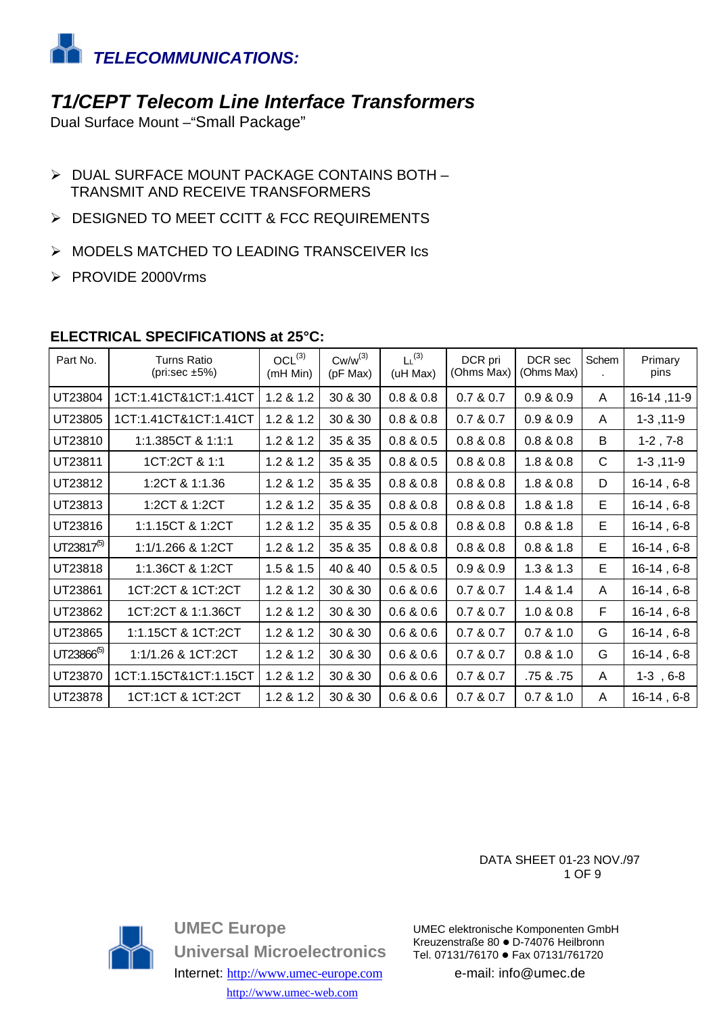

### **T1/CEPT Telecom Line Interface Transformers**

Dual Surface Mount -"Small Package"

- > DUAL SURFACE MOUNT PACKAGE CONTAINS BOTH -**TRANSMIT AND RECEIVE TRANSFORMERS**
- > DESIGNED TO MEET CCITT & FCC REQUIREMENTS
- > MODELS MATCHED TO LEADING TRANSCEIVER Ics
- > PROVIDE 2000Vrms

| Part No.        | <b>Turns Ratio</b><br>(pri:sec $\pm 5\%$ ) | $OCL^{(3)}$<br>(mH Min) | $Cw/w^{(3)}$<br>(pF Max) | $L^{(3)}$<br>(uH Max) | DCR pri<br>(Ohms Max) | DCR sec<br>(Ohms Max) | Schem | Primary<br>pins |
|-----------------|--------------------------------------------|-------------------------|--------------------------|-----------------------|-----------------------|-----------------------|-------|-----------------|
| UT23804         | 1CT:1.41CT&1CT:1.41CT                      | 1.2 & 1.2               | 30 & 30                  | 0.8 & 0.8             | 0.7 & 0.7             | 0.9 & 0.9             | A     | 16-14, 11-9     |
| UT23805         | 1CT:1.41CT&1CT:1.41CT                      | 1.2 & 1.2               | 30 & 30                  | 0.8 & 0.8             | 0.7 & 0.7             | 0.9 & 0.9             | A     | $1-3, 11-9$     |
| UT23810         | 1:1.385CT & 1:1:1                          | 1.2 & 1.2               | 35 & 35                  | 0.8 & 0.5             | 0.8 & 0.8             | 0.8 & 0.8             | B     | $1-2, 7-8$      |
| UT23811         | 1CT:2CT & 1:1                              | 1.2 & 1.2               | 35 & 35                  | 0.8 & 0.5             | 0.8 & 0.8             | 1.8 & 0.8             | C     | $1-3, 11-9$     |
| UT23812         | 1:2CT & 1:1.36                             | 1.2 & 1.2               | 35 & 35                  | 0.8 & 0.8             | 0.8 & 0.8             | 1.8 & 0.8             | D     | $16-14, 6-8$    |
| UT23813         | 1:2CT & 1:2CT                              | 1.2 & 1.2               | 35 & 35                  | 0.8 & 0.8             | 0.8 & 0.8             | 1.8 & 1.8             | E.    | $16-14, 6-8$    |
| UT23816         | 1:1.15CT & 1:2CT                           | 1.2 & 1.2               | 35 & 35                  | 0.5 & 0.8             | 0.8 & 0.8             | 0.8 & 1.8             | E     | $16-14, 6-8$    |
| $UT23817^{(5)}$ | 1:1/1.266 & 1:2CT                          | 1.2 & 1.2               | 35 & 35                  | 0.8 & 0.8             | 0.8 & 0.8             | 0.8 & 1.8             | Е     | $16-14, 6-8$    |
| UT23818         | 1:1.36CT & 1:2CT                           | 1.5 & 1.5               | 40 & 40                  | 0.5 & 0.5             | 0.9 & 0.9             | 1.3 & 1.3             | E     | $16-14, 6-8$    |
| UT23861         | 1CT:2CT & 1CT:2CT                          | 1.2 & 1.2               | 30 & 30                  | 0.6 & 0.6             | 0.7 & 0.7             | 1.4 & 1.4             | A     | $16-14, 6-8$    |
| UT23862         | 1CT:2CT & 1:1.36CT                         | 1.2 & 1.2               | 30 & 30                  | 0.6 & 0.6             | 0.7 & 0.7             | 1.0 & 0.8             | F     | $16-14, 6-8$    |
| UT23865         | 1:1.15CT & 1CT:2CT                         | 1.2 & 1.2               | 30 & 30                  | 0.6 & 0.6             | 0.7 & 0.7             | 0.7 & 1.0             | G     | $16-14, 6-8$    |
| $UT23866^{(5)}$ | 1:1/1.26 & 1CT:2CT                         | 1.2 & 1.2               | 30 & 30                  | 0.6 & 0.6             | 0.7 & 0.7             | 0.8 & 1.0             | G     | $16-14, 6-8$    |
| UT23870         | 1CT:1.15CT&1CT:1.15CT                      | 1.2 & 1.2               | 30 & 30                  | 0.6 & 0.6             | 0.7 & 0.7             | .75 & .75             | A     | $1-3, 6-8$      |
| UT23878         | 1CT:1CT & 1CT:2CT                          | 1.2 & 1.2               | 30 & 30                  | 0.6 & 0.6             | 0.7 & 0.7             | 0.7 & 1.0             | A     | $16-14, 6-8$    |

#### ELECTRICAL SPECIFICATIONS at 25°C:

DATA SHEET 01-23 NOV./97 1 OF 9



**UMEC Europe Universal Microelectronics** Internet: http://www.umec-europe.com http://www.umec-web.com

UMEC elektronische Komponenten GmbH Kreuzenstraße 80 · D-74076 Heilbronn Tel. 07131/76170 · Fax 07131/761720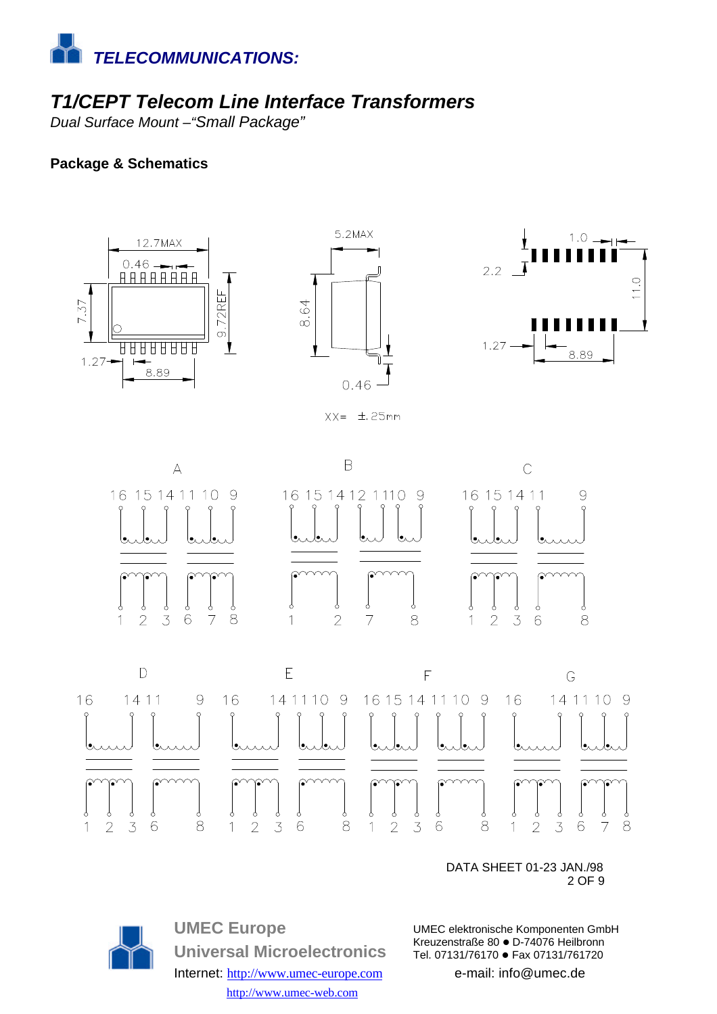

## *T1/CEPT Telecom Line Interface Transformers*

*Dual Surface Mount –"Small Package"*

#### **Package & Schematics**







 $XX = \pm 25$ mm





 DATA SHEET 01-23 JAN./98  $2$  OF 9



**UMEC Europe Universal Microelectronics** Internet: http://www.umec-europe.com http://www.umec-web.com

UMEC elektronische Komponenten GmbH Kreuzenstraße 80 · D-74076 Heilbronn Tel. 07131/76170 · Fax 07131/761720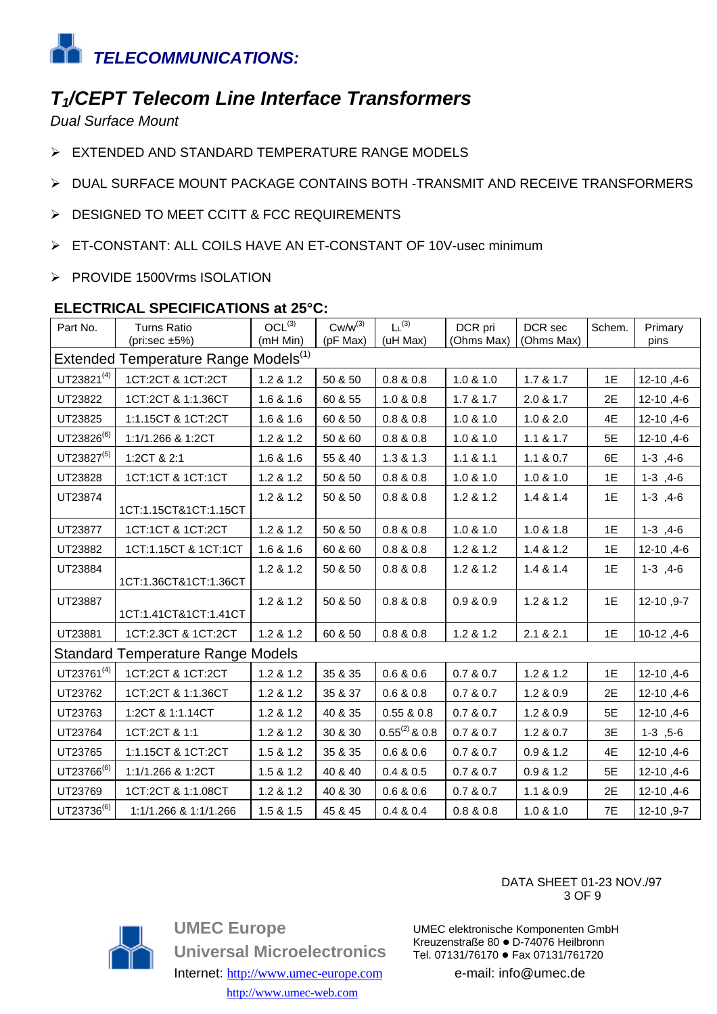

## T<sub>1</sub>/CEPT Telecom Line Interface Transformers

**Dual Surface Mount** 

- > EXTENDED AND STANDARD TEMPERATURE RANGE MODELS
- > DUAL SURFACE MOUNT PACKAGE CONTAINS BOTH -TRANSMIT AND RECEIVE TRANSFORMERS
- > DESIGNED TO MEET CCITT & FCC REQUIREMENTS
- > ET-CONSTANT: ALL COILS HAVE AN ET-CONSTANT OF 10V-usec minimum
- > PROVIDE 1500Vrms ISOLATION

#### ELECTRICAL SPECIFICATIONS at 25°C:

| Part No.                                         | <b>Turns Ratio</b><br>(pri:sec $\pm 5\%$ ) | $OCL^{(3)}$<br>(mH Min) | $Cw/w^{(3)}$<br>(pF Max) | $L^{(3)}$<br>(uH Max) | DCR pri<br>(Ohms Max) | DCR sec<br>(Ohms Max) | Schem. | Primary<br>pins |
|--------------------------------------------------|--------------------------------------------|-------------------------|--------------------------|-----------------------|-----------------------|-----------------------|--------|-----------------|
| Extended Temperature Range Models <sup>(1)</sup> |                                            |                         |                          |                       |                       |                       |        |                 |
| $UT23821^{(4)}$                                  | 1CT:2CT & 1CT:2CT                          | 1.2 & 1.2               | 50 & 50                  | 0.8 & 0.8             | 1.0 & 1.0             | 1.7 & 1.7             | 1E     | 12-10, 4-6      |
| UT23822                                          | 1CT:2CT & 1:1.36CT                         | 1.6 & 1.6               | 60 & 55                  | 1.0 & 0.8             | 1.7 & 1.7             | 2.0 & 1.7             | 2E     | 12-10, 4-6      |
| UT23825                                          | 1:1.15CT & 1CT:2CT                         | 1.6 & 1.6               | 60 & 50                  | 0.8 & 0.8             | 1.0 & 1.0             | 1.0 & 2.0             | 4E     | 12-10, 4-6      |
| $UT23826^{(6)}$                                  | 1:1/1.266 & 1:2CT                          | 1.2 & 1.2               | 50 & 60                  | 0.8 & 0.8             | 1.0 & 1.0             | 1.1 & 8 & 1.7         | 5E     | 12-10, 4-6      |
| UT23827(5)                                       | 1:2CT & 2:1                                | 1.6 & 1.6               | 55 & 40                  | 1.3 & 1.3             | 1.1 & 8 & 1.1         | 1.1 & 0.7             | 6E     | $1-3, 4-6$      |
| UT23828                                          | 1CT:1CT & 1CT:1CT                          | 1.2 & 1.2               | 50 & 50                  | 0.8 & 0.8             | 1.0 & 1.0             | 1.0 & 1.0             | 1E     | $1-3, 4-6$      |
| UT23874                                          | 1CT:1.15CT&1CT:1.15CT                      | 1.2 & 1.2               | 50 & 50                  | 0.8 & 0.8             | 1.2 & 1.2             | 1.4 & 1.4             | 1E     | $1-3, 4-6$      |
| UT23877                                          | 1CT:1CT & 1CT:2CT                          | 1.2 & 1.2               | 50 & 50                  | 0.8 & 0.8             | 1.0 & 1.0             | 1.0 & 1.8             | 1E     | $1-3, 4-6$      |
| UT23882                                          | 1CT:1.15CT & 1CT:1CT                       | 1.6 & 1.6               | 60 & 60                  | 0.8 & 0.8             | 1.2 & 1.2             | 1.4 & 1.2             | 1E     | 12-10, 4-6      |
| UT23884                                          | 1CT:1.36CT&1CT:1.36CT                      | 1.2 & 1.2               | 50 & 50                  | 0.8 & 0.8             | 1.2 & 1.2             | 1.4 & 1.4             | 1E     | $1-3, 4-6$      |
| UT23887                                          | 1CT:1.41CT&1CT:1.41CT                      | 1.2 & 1.2               | 50 & 50                  | 0.8 & 0.8             | 0.9 & 0.9             | 1.2 & 1.2             | 1E     | 12-10, 9-7      |
| UT23881                                          | 1CT:2.3CT & 1CT:2CT                        | 1.2 & 1.2               | 60 & 50                  | 0.8 & 0.8             | 1.2 & 1.2             | 2.1 & 2.1             | 1E     | 10-12, 4-6      |
| <b>Standard Temperature Range Models</b>         |                                            |                         |                          |                       |                       |                       |        |                 |
| $UT23761^{(4)}$                                  | 1CT:2CT & 1CT:2CT                          | 1.2 & 1.2               | 35 & 35                  | 0.6 & 0.6             | 0.7 & 0.7             | 1.2 & 1.2             | 1E     | 12-10, 4-6      |
| UT23762                                          | 1CT:2CT & 1:1.36CT                         | 1.2 & 1.2               | 35 & 37                  | 0.6 & 0.8             | 0.7 & 0.7             | 1.2 & 0.9             | 2E     | 12-10, 4-6      |
| UT23763                                          | 1:2CT & 1:1.14CT                           | 1.2 & 1.2               | 40 & 35                  | 0.55 & 0.8            | 0.7 & 0.7             | 1.2 & 0.9             | 5E     | 12-10, 4-6      |
| UT23764                                          | 1CT:2CT & 1:1                              | 1.2 & 1.2               | 30 & 30                  | $0.55^{(2)}$ & 0.8    | 0.7 & 0.7             | 1.2 & 0.7             | 3E     | $1-3$ , $5-6$   |
| UT23765                                          | 1:1.15CT & 1CT:2CT                         | 1.5 & 1.2               | 35 & 35                  | 0.6 & 0.6             | 0.7 & 0.7             | 0.9 & 1.2             | 4E     | 12-10, 4-6      |
| UT23766 <sup>(6)</sup>                           | 1:1/1.266 & 1:2CT                          | 1.5 & 1.2               | 40 & 40                  | 0.4 & 0.5             | 0.7 & 0.7             | 0.9 & 1.2             | 5E     | 12-10, 4-6      |
| UT23769                                          | 1CT:2CT & 1:1.08CT                         | 1.2 & 1.2               | 40 & 30                  | 0.6 & 0.6             | 0.7 & 0.7             | 1.1 & 0.9             | 2E     | 12-10, 4-6      |
| $UT23736^{(6)}$                                  | 1:1/1.266 & 1:1/1.266                      | 1.5 & 1.5               | 45 & 45                  | 0.4 & 0.4             | 0.8 & 0.8             | 1.0 & 1.0             | 7E     | 12-10, 9-7      |



**UMEC Europe Universal Microelectronics** Internet: http://www.umec-europe.com http://www.umec-web.com

DATA SHEET 01-23 NOV./97 3 OF 9

UMEC elektronische Komponenten GmbH Kreuzenstraße 80 · D-74076 Heilbronn Tel. 07131/76170 · Fax 07131/761720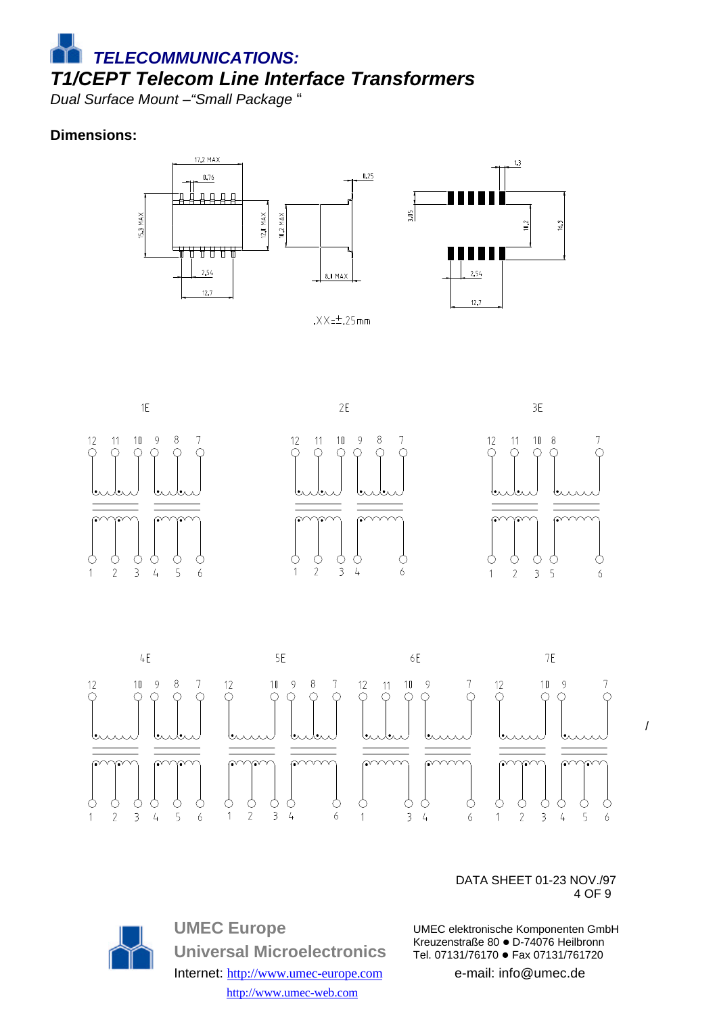*TELECOMMUNICATIONS: T1/CEPT Telecom Line Interface Transformers*

*Dual Surface Mount –"Small Package* "

#### **Dimensions:**







 DATA SHEET 01-23 NOV./97  $4$  OF 9

> UMEC elektronische Komponenten GmbH Kreuzenstraße 80 · D-74076 Heilbronn Tel. 07131/76170 · Fax 07131/761720

> > e-mail: info@umec.de



**UMEC Europe Universal Microelectronics** Internet: http://www.umec-europe.com http://www.umec-web.com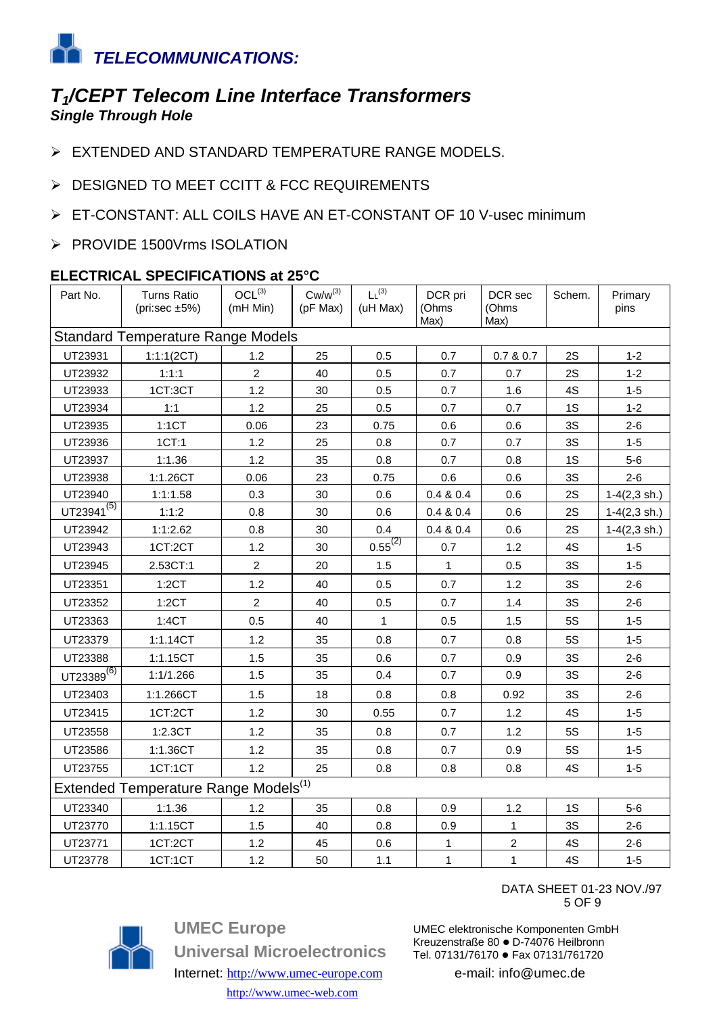

### *T1/CEPT Telecom Line Interface Transformers Single Through Hole*

- > EXTENDED AND STANDARD TEMPERATURE RANGE MODELS.
- > DESIGNED TO MEET CCITT & FCC REQUIREMENTS
- ▶ ET-CONSTANT: ALL COILS HAVE AN ET-CONSTANT OF 10 V-usec minimum
- > PROVIDE 1500Vrms ISOLATION

#### **ELECTRICAL SPECIFICATIONS at 25°C**

| Part No.                                         | Turns Ratio<br>(pri:sec $\pm 5\%$ ) | $OCL^{(3)}$<br>(mH Min) | $Cw/w^{(3)}$<br>(pF Max) | L <sup>(3)</sup><br>(uH Max) | DCR pri<br>(Ohms<br>Max) | DCR sec<br>(Ohms<br>Max) | Schem.    | Primary<br>pins          |
|--------------------------------------------------|-------------------------------------|-------------------------|--------------------------|------------------------------|--------------------------|--------------------------|-----------|--------------------------|
| <b>Standard Temperature Range Models</b>         |                                     |                         |                          |                              |                          |                          |           |                          |
| UT23931                                          | 1:1:1(2CT)                          | 1.2                     | 25                       | 0.5                          | 0.7                      | 0.7 & 0.7                | 2S        | $1 - 2$                  |
| UT23932                                          | 1:1:1                               | $\overline{2}$          | 40                       | 0.5                          | 0.7                      | 0.7                      | 2S        | $1 - 2$                  |
| UT23933                                          | 1CT:3CT                             | 1.2                     | 30                       | 0.5                          | 0.7                      | 1.6                      | 4S        | $1 - 5$                  |
| UT23934                                          | 1:1                                 | 1.2                     | 25                       | 0.5                          | 0.7                      | 0.7                      | 1S        | $1 - 2$                  |
| UT23935                                          | 1:1CT                               | 0.06                    | 23                       | 0.75                         | 0.6                      | 0.6                      | 3S        | $2 - 6$                  |
| UT23936                                          | 1CT:1                               | 1.2                     | 25                       | 0.8                          | 0.7                      | 0.7                      | 3S        | $1 - 5$                  |
| UT23937                                          | 1:1.36                              | 1.2                     | 35                       | 0.8                          | 0.7                      | 0.8                      | 1S        | $5-6$                    |
| UT23938                                          | 1:1.26CT                            | 0.06                    | 23                       | 0.75                         | 0.6                      | 0.6                      | 3S        | $2 - 6$                  |
| UT23940                                          | 1:1:1.58                            | 0.3                     | 30                       | 0.6                          | 0.4 & 0.4                | 0.6                      | 2S        | $1-4(2,3 \, \text{sh.})$ |
| UT23941 <sup>(5)</sup>                           | 1:1:2                               | 0.8                     | 30                       | 0.6                          | 0.4 & 0.4                | 0.6                      | 2S        | $1-4(2,3 \, \text{sh.})$ |
| UT23942                                          | 1:1:2.62                            | 0.8                     | 30                       | 0.4                          | 0.4 & 0.4                | 0.6                      | 2S        | $1-4(2,3 \, \text{sh.})$ |
| UT23943                                          | 1CT:2CT                             | 1.2                     | 30                       | $\underline{0.55}^{(2)}$     | 0.7                      | 1.2                      | 4S        | $1 - 5$                  |
| UT23945                                          | 2.53CT:1                            | $\overline{2}$          | 20                       | 1.5                          | 1                        | 0.5                      | 3S        | $1 - 5$                  |
| UT23351                                          | 1:2CT                               | 1.2                     | 40                       | 0.5                          | 0.7                      | 1.2                      | 3S        | $2 - 6$                  |
| UT23352                                          | 1:2CT                               | $\overline{2}$          | 40                       | 0.5                          | 0.7                      | 1.4                      | 3S        | $2 - 6$                  |
| UT23363                                          | 1:4CT                               | 0.5                     | 40                       | $\mathbf{1}$                 | 0.5                      | 1.5                      | 5S        | $1 - 5$                  |
| UT23379                                          | 1:1.14CT                            | 1.2                     | 35                       | 0.8                          | 0.7                      | 0.8                      | <b>5S</b> | $1 - 5$                  |
| UT23388                                          | 1:1.15CT                            | 1.5                     | 35                       | 0.6                          | 0.7                      | 0.9                      | 3S        | $2 - 6$                  |
| UT23389 $^{(6)}$                                 | 1:1/1.266                           | 1.5                     | 35                       | 0.4                          | 0.7                      | 0.9                      | 3S        | $2 - 6$                  |
| UT23403                                          | 1:1.266CT                           | 1.5                     | 18                       | 0.8                          | 0.8                      | 0.92                     | 3S        | $2 - 6$                  |
| UT23415                                          | 1CT:2CT                             | 1.2                     | 30                       | 0.55                         | 0.7                      | 1.2                      | 4S        | $1 - 5$                  |
| UT23558                                          | 1:2.3CT                             | 1.2                     | 35                       | 0.8                          | 0.7                      | 1.2                      | 5S        | $1 - 5$                  |
| UT23586                                          | 1:1.36CT                            | 1.2                     | 35                       | 0.8                          | 0.7                      | 0.9                      | <b>5S</b> | $1 - 5$                  |
| UT23755                                          | 1CT:1CT                             | 1.2                     | 25                       | 0.8                          | 0.8                      | 0.8                      | 4S        | $1 - 5$                  |
| Extended Temperature Range Models <sup>(1)</sup> |                                     |                         |                          |                              |                          |                          |           |                          |
| UT23340                                          | 1:1.36                              | 1.2                     | 35                       | 0.8                          | 0.9                      | 1.2                      | 1S        | $5-6$                    |
| UT23770                                          | 1:1.15CT                            | 1.5                     | 40                       | 0.8                          | 0.9                      | $\mathbf{1}$             | 3S        | $2 - 6$                  |
| UT23771                                          | 1CT:2CT                             | 1.2                     | 45                       | 0.6                          | $\mathbf{1}$             | $\boldsymbol{2}$         | 4S        | $2 - 6$                  |
| UT23778                                          | 1CT:1CT                             | 1.2                     | 50                       | $1.1$                        | $\mathbf{1}$             | $\mathbf 1$              | 4S        | $1 - 5$                  |



UMEC elektronische Komponenten GmbH Kreuzenstraße 80 · D-74076 Heilbronn Tel. 07131/76170 · Fax 07131/761720

e-mail: info@umec.de



**UMEC Europe Universal Microelectronics** Internet: http://www.umec-europe.com

http://www.umec-web.com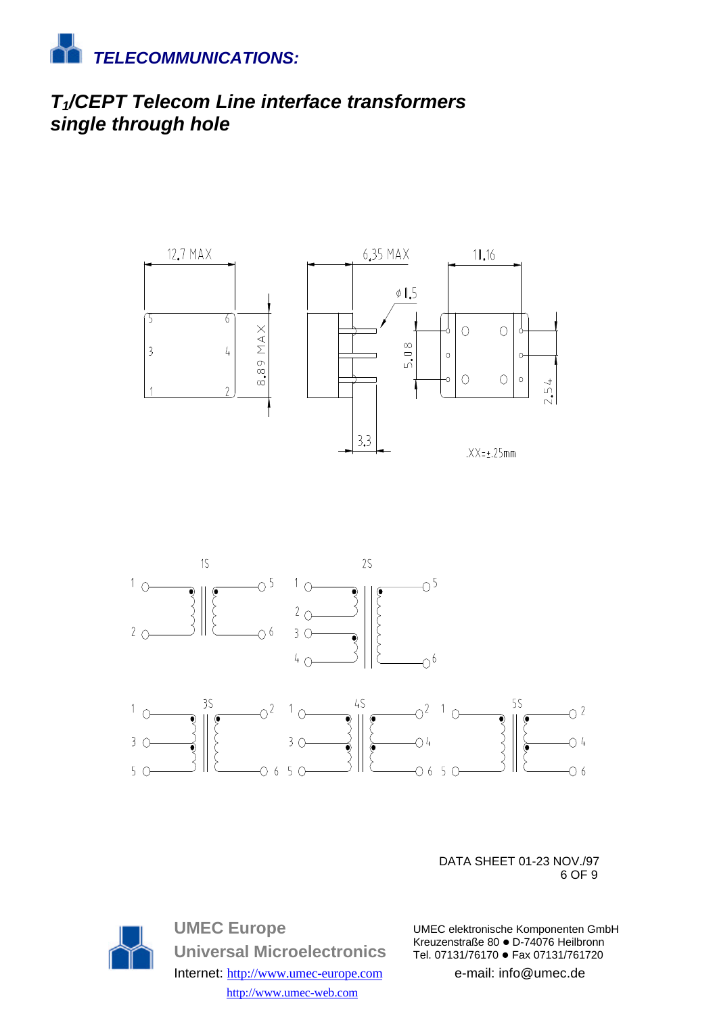

## *T1/CEPT Telecom Line interface transformers single through hole*





 DATA SHEET 01-23 NOV./97  $\sim$  6 OF 9



e-mail: info@umec.de



**UMEC Europe Universal Microelectronics** Internet: http://www.umec-europe.com http://www.umec-web.com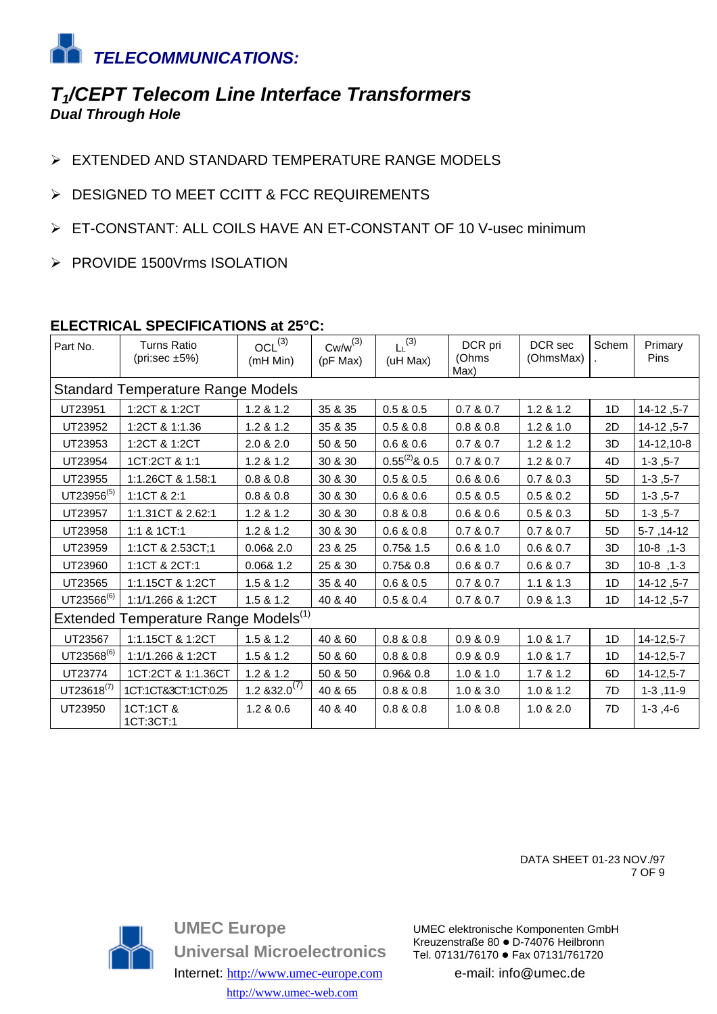

### *T1/CEPT Telecom Line Interface Transformers Dual Through Hole*

- ▶ EXTENDED AND STANDARD TEMPERATURE RANGE MODELS
- > DESIGNED TO MEET CCITT & FCC REQUIREMENTS
- ▶ ET-CONSTANT: ALL COILS HAVE AN ET-CONSTANT OF 10 V-usec minimum
- ▶ PROVIDE 1500Vrms ISOLATION

#### **ELECTRICAL SPECIFICATIONS at 25°C:**

| Part No.                                         | <b>Turns Ratio</b><br>(pri:sec $\pm 5\%$ ) | OCL <sup>(3)</sup><br>(mH Min) | $Cw/w^{(3)}$<br>(pF Max) | $L^{(3)}$<br>(uH Max) | DCR pri<br>(Ohms<br>Max) | DCR sec<br>(OhmsMax) | Schem | Primary<br>Pins  |
|--------------------------------------------------|--------------------------------------------|--------------------------------|--------------------------|-----------------------|--------------------------|----------------------|-------|------------------|
|                                                  | <b>Standard Temperature Range Models</b>   |                                |                          |                       |                          |                      |       |                  |
| UT23951                                          | 1:2CT & 1:2CT                              | 1.2 & 1.2                      | 35 & 35                  | 0.5 & 0.5             | 0.7 & 0.7                | 1.2 & 1.2            | 1D    | 14-12, 5-7       |
| UT23952                                          | 1:2CT & 1:1.36                             | 1.2 & 1.2                      | 35 & 35                  | 0.5 & 0.8             | 0.8 & 0.8                | 1.2 & 1.0            | 2D    | 14-12, 5-7       |
| UT23953                                          | 1:2CT & 1:2CT                              | 2.0 & 2.0                      | 50 & 50                  | 0.6 & 0.6             | 0.7 & 0.7                | 1.2 & 1.2            | 3D    | 14-12,10-8       |
| UT23954                                          | 1CT:2CT & 1:1                              | 1.2 & 1.2                      | 30 & 30                  | $0.55^{(2)}$ & 0.5    | 0.7 & 0.7                | 1.2 & 0.7            | 4D    | $1-3, 5-7$       |
| UT23955                                          | 1:1.26CT & 1.58:1                          | 0.8 & 0.8                      | 30 & 30                  | 0.5 & 0.5             | 0.6 & 0.6                | 0.7 & 0.3            | 5D    | $1-3, 5-7$       |
| UT23956 <sup>(5)</sup>                           | 1:1CT & 2:1                                | 0.8 & 0.8                      | 30 & 30                  | 0.6 & 0.6             | 0.5 & 0.5                | 0.5 & 0.2            | 5D    | $1-3, 5-7$       |
| UT23957                                          | 1:1.31CT & 2.62:1                          | 1.2 & 1.2                      | 30 & 30                  | 0.8 & 0.8             | 0.6 & 0.6                | 0.5 & 0.3            | 5D    | $1-3, 5-7$       |
| UT23958                                          | 1:1 & 1CT:1                                | 1.2 & 1.2                      | 30 & 30                  | 0.6 & 0.8             | 0.7 & 0.7                | 0.7 & 0.7            | 5D    | $5-7, 14-12$     |
| UT23959                                          | 1:1CT & 2.53CT;1                           | 0.0682.0                       | 23 & 25                  | 0.75& 1.5             | 0.6 & 1.0                | 0.6 & 0.7            | 3D    | $10-8$ , 1-3     |
| UT23960                                          | 1:1CT & 2CT:1                              | 0.06& 1.2                      | 25 & 30                  | 0.75& 0.8             | 0.6 & 0.7                | 0.6 & 0.7            | 3D    | $10-8$ , 1-3     |
| UT23565                                          | 1:1.15CT & 1:2CT                           | 1.5 & 1.2                      | 35 & 40                  | 0.6 & 0.5             | 0.7 & 0.7                | 1.1 & 81.3           | 1D    | 14-12, 5-7       |
| $UT23566^{(6)}$                                  | 1:1/1.266 & 1:2CT                          | 1.5 & 1.2                      | 40 & 40                  | 0.5 & 0.4             | 0.7 & 0.7                | 0.9 & 1.3            | 1D    | 14-12, 5-7       |
| Extended Temperature Range Models <sup>(1)</sup> |                                            |                                |                          |                       |                          |                      |       |                  |
| UT23567                                          | 1:1.15CT & 1:2CT                           | 1.5 & 1.2                      | 40 & 60                  | 0.8 & 0.8             | 0.9 & 0.9                | 1.0 & 1.7            | 1D    | $14 - 12, 5 - 7$ |
| UT23568 <sup>(6)</sup>                           | 1:1/1.266 & 1:2CT                          | 1.5 & 1.2                      | 50 & 60                  | 0.8 & 0.8             | 0.9 & 0.9                | 1.0 & 1.7            | 1D    | $14 - 12, 5 - 7$ |
| UT23774                                          | 1CT:2CT & 1:1.36CT                         | 1.2 & 1.2                      | 50 & 50                  | 0.96& 0.8             | 1.0 & 1.0                | 1.7 & 1.2            | 6D    | 14-12,5-7        |
| $UT23618^{(7)}$                                  | 1CT:1CT&3CT:1CT:0.25                       | $1.2832.0^{(7)}$               | 40 & 65                  | 0.8 & 0.8             | 1.0 & 3.0                | 1.0 & 1.2            | 7D    | $1-3, 11-9$      |
| UT23950                                          | 1CT:1CT &<br>1CT:3CT:1                     | 1.2 & 0.6                      | 40 & 40                  | 0.8 & 0.8             | 1.0 & 0.8                | 1.0 & 2.0            | 7D    | $1-3, 4-6$       |

 DATA SHEET 01-23 NOV./97 The state of the state of the state of the state of the state of the state of the state of the state of the state of the state of the state of the state of the state of the state of the state of the state of the state of t



**UMEC Europe Universal Microelectronics** Internet: http://www.umec-europe.com http://www.umec-web.com

UMEC elektronische Komponenten GmbH Kreuzenstraße 80 · D-74076 Heilbronn Tel. 07131/76170 · Fax 07131/761720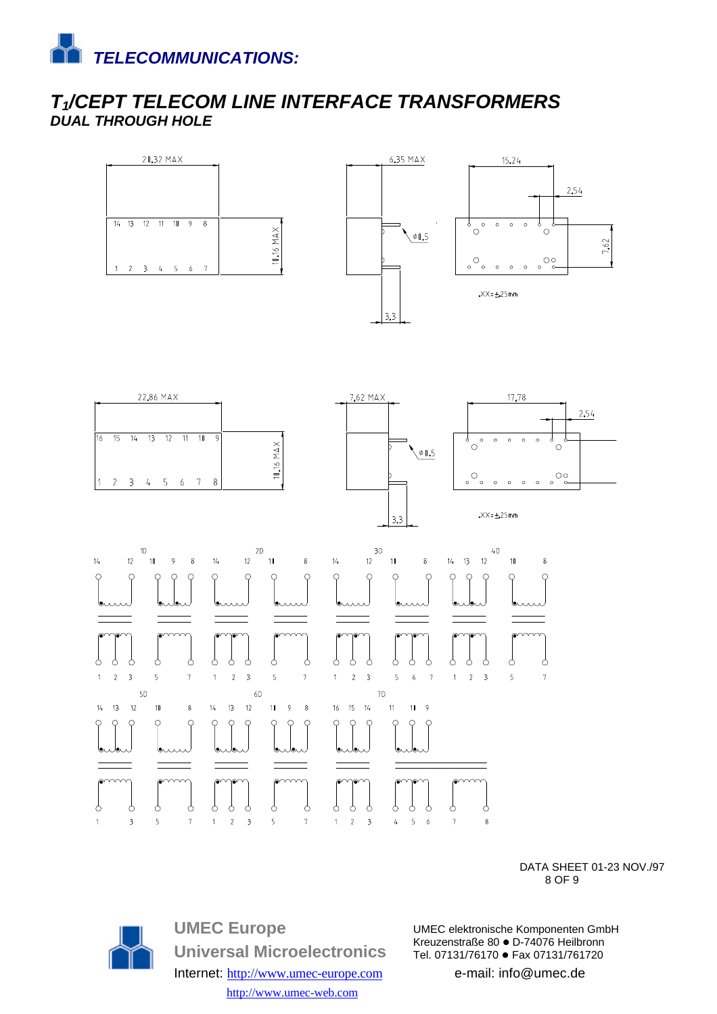

### *T1/CEPT TELECOM LINE INTERFACE TRANSFORMERS DUAL THROUGH HOLE*





DATA SHEET 01-23 NOV./97  $8$  OF 9



**UMEC Europe Universal Microelectronics** Internet: http://www.umec-europe.com http://www.umec-web.com

UMEC elektronische Komponenten GmbH Kreuzenstraße 80 · D-74076 Heilbronn Tel. 07131/76170 · Fax 07131/761720

 $\overline{7}$